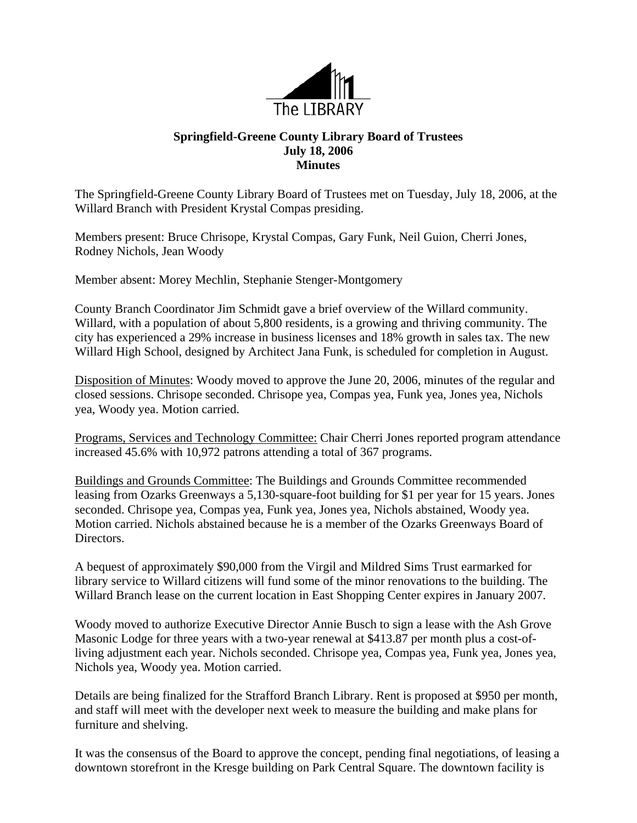

## **Springfield-Greene County Library Board of Trustees July 18, 2006 Minutes**

The Springfield-Greene County Library Board of Trustees met on Tuesday, July 18, 2006, at the Willard Branch with President Krystal Compas presiding.

Members present: Bruce Chrisope, Krystal Compas, Gary Funk, Neil Guion, Cherri Jones, Rodney Nichols, Jean Woody

Member absent: Morey Mechlin, Stephanie Stenger-Montgomery

County Branch Coordinator Jim Schmidt gave a brief overview of the Willard community. Willard, with a population of about 5,800 residents, is a growing and thriving community. The city has experienced a 29% increase in business licenses and 18% growth in sales tax. The new Willard High School, designed by Architect Jana Funk, is scheduled for completion in August.

Disposition of Minutes: Woody moved to approve the June 20, 2006, minutes of the regular and closed sessions. Chrisope seconded. Chrisope yea, Compas yea, Funk yea, Jones yea, Nichols yea, Woody yea. Motion carried.

Programs, Services and Technology Committee: Chair Cherri Jones reported program attendance increased 45.6% with 10,972 patrons attending a total of 367 programs.

Buildings and Grounds Committee: The Buildings and Grounds Committee recommended leasing from Ozarks Greenways a 5,130-square-foot building for \$1 per year for 15 years. Jones seconded. Chrisope yea, Compas yea, Funk yea, Jones yea, Nichols abstained, Woody yea. Motion carried. Nichols abstained because he is a member of the Ozarks Greenways Board of Directors.

A bequest of approximately \$90,000 from the Virgil and Mildred Sims Trust earmarked for library service to Willard citizens will fund some of the minor renovations to the building. The Willard Branch lease on the current location in East Shopping Center expires in January 2007.

Woody moved to authorize Executive Director Annie Busch to sign a lease with the Ash Grove Masonic Lodge for three years with a two-year renewal at \$413.87 per month plus a cost-ofliving adjustment each year. Nichols seconded. Chrisope yea, Compas yea, Funk yea, Jones yea, Nichols yea, Woody yea. Motion carried.

Details are being finalized for the Strafford Branch Library. Rent is proposed at \$950 per month, and staff will meet with the developer next week to measure the building and make plans for furniture and shelving.

It was the consensus of the Board to approve the concept, pending final negotiations, of leasing a downtown storefront in the Kresge building on Park Central Square. The downtown facility is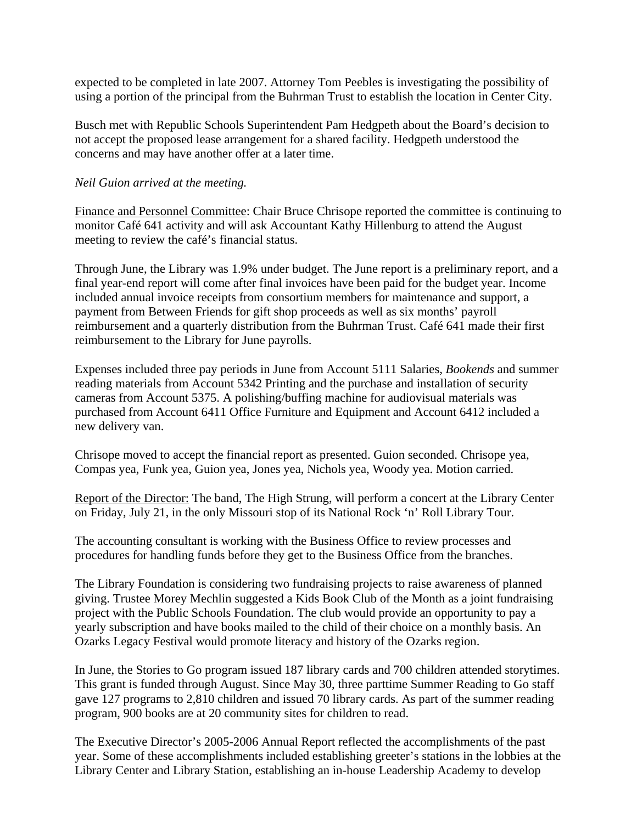expected to be completed in late 2007. Attorney Tom Peebles is investigating the possibility of using a portion of the principal from the Buhrman Trust to establish the location in Center City.

Busch met with Republic Schools Superintendent Pam Hedgpeth about the Board's decision to not accept the proposed lease arrangement for a shared facility. Hedgpeth understood the concerns and may have another offer at a later time.

## *Neil Guion arrived at the meeting.*

Finance and Personnel Committee: Chair Bruce Chrisope reported the committee is continuing to monitor Café 641 activity and will ask Accountant Kathy Hillenburg to attend the August meeting to review the café's financial status.

Through June, the Library was 1.9% under budget. The June report is a preliminary report, and a final year-end report will come after final invoices have been paid for the budget year. Income included annual invoice receipts from consortium members for maintenance and support, a payment from Between Friends for gift shop proceeds as well as six months' payroll reimbursement and a quarterly distribution from the Buhrman Trust. Café 641 made their first reimbursement to the Library for June payrolls.

Expenses included three pay periods in June from Account 5111 Salaries, *Bookends* and summer reading materials from Account 5342 Printing and the purchase and installation of security cameras from Account 5375. A polishing/buffing machine for audiovisual materials was purchased from Account 6411 Office Furniture and Equipment and Account 6412 included a new delivery van.

Chrisope moved to accept the financial report as presented. Guion seconded. Chrisope yea, Compas yea, Funk yea, Guion yea, Jones yea, Nichols yea, Woody yea. Motion carried.

Report of the Director: The band, The High Strung, will perform a concert at the Library Center on Friday, July 21, in the only Missouri stop of its National Rock 'n' Roll Library Tour.

The accounting consultant is working with the Business Office to review processes and procedures for handling funds before they get to the Business Office from the branches.

The Library Foundation is considering two fundraising projects to raise awareness of planned giving. Trustee Morey Mechlin suggested a Kids Book Club of the Month as a joint fundraising project with the Public Schools Foundation. The club would provide an opportunity to pay a yearly subscription and have books mailed to the child of their choice on a monthly basis. An Ozarks Legacy Festival would promote literacy and history of the Ozarks region.

In June, the Stories to Go program issued 187 library cards and 700 children attended storytimes. This grant is funded through August. Since May 30, three parttime Summer Reading to Go staff gave 127 programs to 2,810 children and issued 70 library cards. As part of the summer reading program, 900 books are at 20 community sites for children to read.

The Executive Director's 2005-2006 Annual Report reflected the accomplishments of the past year. Some of these accomplishments included establishing greeter's stations in the lobbies at the Library Center and Library Station, establishing an in-house Leadership Academy to develop